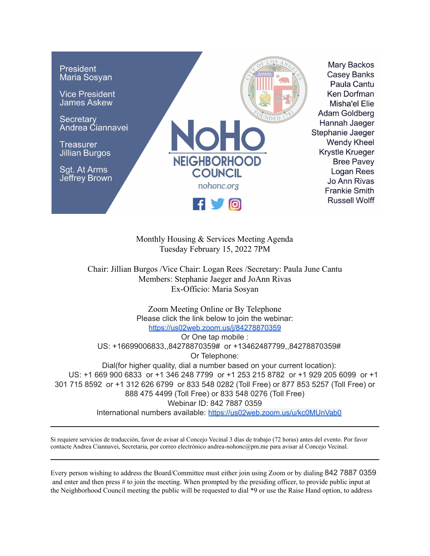

Monthly Housing & Services Meeting Agenda Tuesday February 15, 2022 7PM

Chair: Jillian Burgos /Vice Chair: Logan Rees /Secretary: Paula June Cantu Members: Stephanie Jaeger and JoAnn Rivas Ex-Officio: Maria Sosyan

Zoom Meeting Online or By Telephone Please click the link below to join the webinar: <https://us02web.zoom.us/j/84278870359> Or One tap mobile : US: +16699006833,,84278870359# or +13462487799,,84278870359# Or Telephone: Dial(for higher quality, dial a number based on your current location): US: +1 669 900 6833 or +1 346 248 7799 or +1 253 215 8782 or +1 929 205 6099 or +1 301 715 8592 or +1 312 626 6799 or 833 548 0282 (Toll Free) or 877 853 5257 (Toll Free) or 888 475 4499 (Toll Free) or 833 548 0276 (Toll Free) Webinar ID: 842 7887 0359 International numbers available: <https://us02web.zoom.us/u/kc0MUnVab0>

Si requiere servicios de traducción, favor de avisar al Concejo Vecinal 3 días de trabajo (72 horas) antes del evento. Por favor contacte Andrea Ciannavei, Secretaria, por correo electrónico andrea-nohonc@pm.me para avisar al Concejo Vecinal.

Every person wishing to address the Board/Committee must either join using Zoom or by dialing 842 7887 0359 and enter and then press # to join the meeting. When prompted by the presiding officer, to provide public input at the Neighborhood Council meeting the public will be requested to dial \*9 or use the Raise Hand option, to address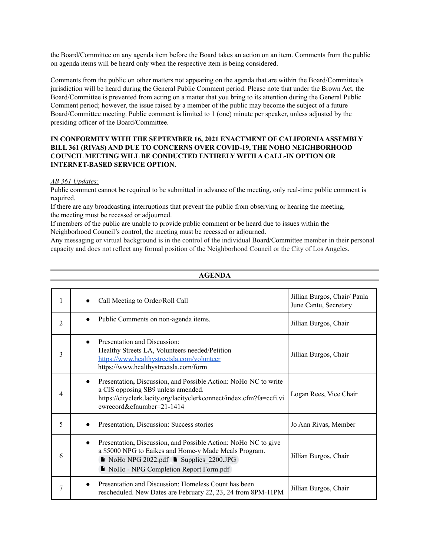the Board/Committee on any agenda item before the Board takes an action on an item. Comments from the public on agenda items will be heard only when the respective item is being considered.

Comments from the public on other matters not appearing on the agenda that are within the Board/Committee's jurisdiction will be heard during the General Public Comment period. Please note that under the Brown Act, the Board/Committee is prevented from acting on a matter that you bring to its attention during the General Public Comment period; however, the issue raised by a member of the public may become the subject of a future Board/Committee meeting. Public comment is limited to 1 (one) minute per speaker, unless adjusted by the presiding officer of the Board/Committee.

## **IN CONFORMITY WITH THE SEPTEMBER 16, 2021 ENACTMENT OF CALIFORNIAASSEMBLY BILL 361 (RIVAS) AND DUE TO CONCERNS OVER COVID-19, THE NOHO NEIGHBORHOOD COUNCIL MEETING WILL BE CONDUCTED ENTIRELY WITH A CALL-IN OPTION OR INTERNET-BASED SERVICE OPTION.**

## *AB 361 Updates:*

Public comment cannot be required to be submitted in advance of the meeting, only real-time public comment is required.

If there are any broadcasting interruptions that prevent the public from observing or hearing the meeting, the meeting must be recessed or adjourned.

If members of the public are unable to provide public comment or be heard due to issues within the Neighborhood Council's control, the meeting must be recessed or adjourned.

Any messaging or virtual background is in the control of the individual Board/Committee member in their personal capacity and does not reflect any formal position of the Neighborhood Council or the City of Los Angeles.

| 1              |           | Call Meeting to Order/Roll Call                                                                                                                                                                               | Jillian Burgos, Chair/ Paula<br>June Cantu, Secretary |
|----------------|-----------|---------------------------------------------------------------------------------------------------------------------------------------------------------------------------------------------------------------|-------------------------------------------------------|
| $\overline{2}$ |           | Public Comments on non-agenda items.                                                                                                                                                                          | Jillian Burgos, Chair                                 |
| 3              |           | Presentation and Discussion:<br>Healthy Streets LA, Volunteers needed/Petition<br>https://www.healthystreetsla.com/volunteer<br>https://www.healthystreetsla.com/form                                         | Jillian Burgos, Chair                                 |
| 4              | $\bullet$ | Presentation, Discussion, and Possible Action: NoHo NC to write<br>a CIS opposing SB9 unless amended.<br>https://cityclerk.lacity.org/lacityclerkconnect/index.cfm?fa=ccfi.vi<br>ewrecord&cfnumber= $21-1414$ | Logan Rees, Vice Chair                                |
| 5              |           | Presentation, Discussion: Success stories                                                                                                                                                                     | Jo Ann Rivas, Member                                  |
| 6              | $\bullet$ | Presentation, Discussion, and Possible Action: NoHo NC to give<br>a \$5000 NPG to Eaikes and Home-y Made Meals Program.<br>NoHo NPG 2022.pdf Supplies 2200.JPG<br>NoHo - NPG Completion Report Form.pdf       | Jillian Burgos, Chair                                 |
| 7              |           | Presentation and Discussion: Homeless Count has been<br>rescheduled. New Dates are February 22, 23, 24 from 8PM-11PM                                                                                          | Jillian Burgos, Chair                                 |

## **AGENDA**